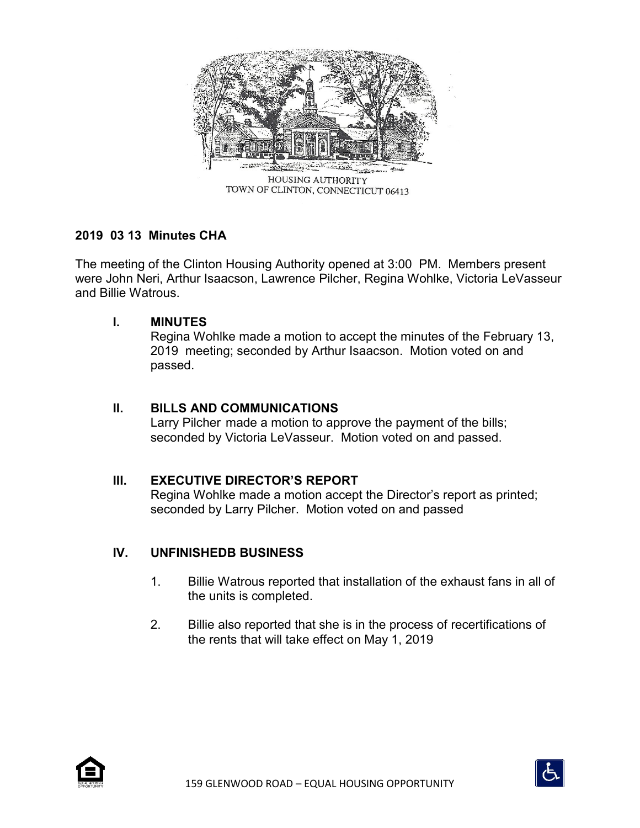

**2019 03 13 Minutes CHA**

The meeting of the Clinton Housing Authority opened at 3:00 PM. Members present were John Neri, Arthur Isaacson, Lawrence Pilcher, Regina Wohlke, Victoria LeVasseur and Billie Watrous.

## **I. MINUTES**

Regina Wohlke made a motion to accept the minutes of the February 13, 2019 meeting; seconded by Arthur Isaacson. Motion voted on and passed.

## **II. BILLS AND COMMUNICATIONS**

Larry Pilcher made a motion to approve the payment of the bills; seconded by Victoria LeVasseur. Motion voted on and passed.

## **III. EXECUTIVE DIRECTOR'S REPORT**

Regina Wohlke made a motion accept the Director's report as printed; seconded by Larry Pilcher. Motion voted on and passed

# **IV. UNFINISHEDB BUSINESS**

- 1. Billie Watrous reported that installation of the exhaust fans in all of the units is completed.
- 2. Billie also reported that she is in the process of recertifications of the rents that will take effect on May 1, 2019



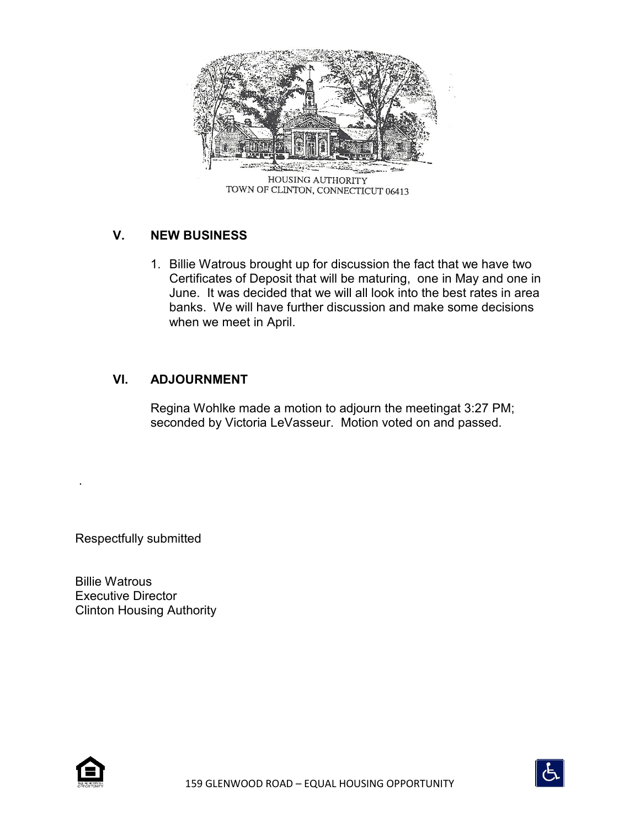

# **V. NEW BUSINESS**

1. Billie Watrous brought up for discussion the fact that we have two Certificates of Deposit that will be maturing, one in May and one in June. It was decided that we will all look into the best rates in area banks. We will have further discussion and make some decisions when we meet in April.

## **VI. ADJOURNMENT**

Regina Wohlke made a motion to adjourn the meetingat 3:27 PM; seconded by Victoria LeVasseur. Motion voted on and passed.

Respectfully submitted

Billie Watrous Executive Director Clinton Housing Authority



.